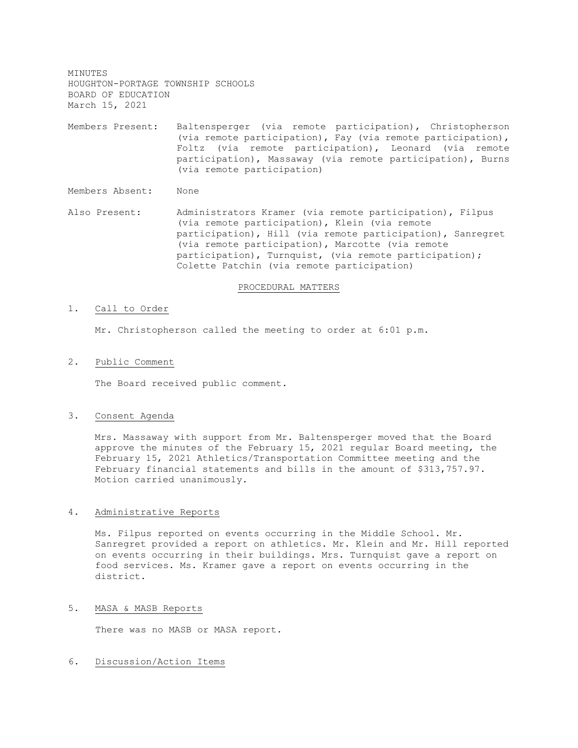MINUTES HOUGHTON-PORTAGE TOWNSHIP SCHOOLS BOARD OF EDUCATION March 15, 2021

Members Present: Baltensperger (via remote participation), Christopherson (via remote participation), Fay (via remote participation), Foltz (via remote participation), Leonard (via remote participation), Massaway (via remote participation), Burns (via remote participation)

Members Absent: None

Also Present: Administrators Kramer (via remote participation), Filpus (via remote participation), Klein (via remote participation), Hill (via remote participation), Sanregret (via remote participation), Marcotte (via remote participation), Turnquist, (via remote participation); Colette Patchin (via remote participation)

#### PROCEDURAL MATTERS

#### 1. Call to Order

Mr. Christopherson called the meeting to order at 6:01 p.m.

#### 2. Public Comment

The Board received public comment.

#### 3. Consent Agenda

Mrs. Massaway with support from Mr. Baltensperger moved that the Board approve the minutes of the February 15, 2021 regular Board meeting, the February 15, 2021 Athletics/Transportation Committee meeting and the February financial statements and bills in the amount of \$313,757.97. Motion carried unanimously.

### 4. Administrative Reports

Ms. Filpus reported on events occurring in the Middle School. Mr. Sanregret provided a report on athletics. Mr. Klein and Mr. Hill reported on events occurring in their buildings. Mrs. Turnquist gave a report on food services. Ms. Kramer gave a report on events occurring in the district.

# 5. MASA & MASB Reports

There was no MASB or MASA report.

### 6. Discussion/Action Items